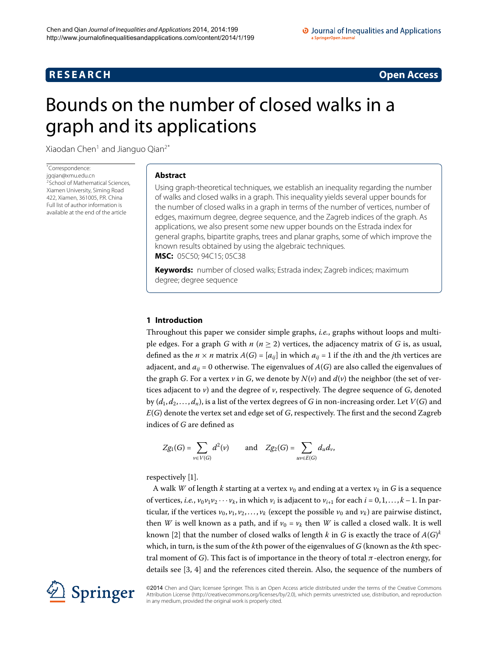# **R E S E A R C H Open Access**

# <span id="page-0-0"></span>Bounds on the number of closed walks in a graph and its applications

Xiaodan Chen<sup>1</sup> and Jianguo Qian<sup>2[\\*](#page-0-0)</sup>

\* Correspondence: [jgqian@xmu.edu.cn](mailto:jgqian@xmu.edu.cn) <sup>2</sup>School of Mathematical Sciences Xiamen University, Siming Road 422, Xiamen, 361005, P.R. China Full list of author information is available at the end of the article

# **Abstract**

Using graph-theoretical techniques, we establish an inequality regarding the number of walks and closed walks in a graph. This inequality yields several upper bounds for the number of closed walks in a graph in terms of the number of vertices, number of edges, maximum degree, degree sequence, and the Zagreb indices of the graph. As applications, we also present some new upper bounds on the Estrada index for general graphs, bipartite graphs, trees and planar graphs, some of which improve the known results obtained by using the algebraic techniques. **MSC:** 05C50; 94C15; 05C38

**Keywords:** number of closed walks; Estrada index; Zagreb indices; maximum degree; degree sequence

# **1 Introduction**

Throughout this paper we consider simple graphs, *i.e.*, graphs without loops and multiple edges. For a graph *G* with  $n (n \ge 2)$  vertices, the adjacency matrix of *G* is, as usual, defined as the  $n \times n$  matrix  $A(G) = [a_{ij}]$  in which  $a_{ij} = 1$  if the *i*th and the *j*th vertices are adjacent, and  $a_{ij} = 0$  otherwise. The eigenvalues of  $A(G)$  are also called the eigenvalues of the graph *G*. For a vertex *v* in *G*, we denote by  $N(v)$  and  $d(v)$  the neighbor (the set of vertices adjacent to *v*) and the degree of *v*, respectively. The degree sequence of *G*, denoted by  $(d_1, d_2, \ldots, d_n)$ , is a list of the vertex degrees of *G* in non-increasing order. Let *V*(*G*) and *E*(*G*) denote the vertex set and edge set of *G*, respectively. The first and the second Zagreb indices of *G* are defined as

$$
Zg_1(G) = \sum_{v \in V(G)} d^2(v) \quad \text{and} \quad Zg_2(G) = \sum_{uv \in E(G)} d_u d_v,
$$

respectively [\[](#page-8-2)1].

A walk *W* of length *k* starting at a vertex  $v_0$  and ending at a vertex  $v_k$  in *G* is a sequence of vertices, *i.e.*,  $v_0 v_1 v_2 \cdots v_k$ , in which  $v_i$  is adjacent to  $v_{i+1}$  for each  $i = 0, 1, \ldots, k-1$ . In particular, if the vertices  $v_0$ ,  $v_1$ ,  $v_2$ ,...,  $v_k$  (except the possible  $v_0$  and  $v_k$ ) are pairwise distinct, then *W* is well known as a path, and if  $v_0 = v_k$  then *W* is called a closed walk. It is well known [\[](#page-8-3)2] that the number of closed walks of length  $k$  in  $G$  is exactly the trace of  $A(G)^k$ which, in turn, is the sum of the *k*th power of the eigenvalues of *G* (known as the *k*th spectral moment of *G*). This fact is of importance in the theory of total *π*-electron energy, for details see  $[3, 4]$  $[3, 4]$  $[3, 4]$  and the references cited therein. Also, the sequence of the numbers of



©2014 Chen and Qian; licensee Springer. This is an Open Access article distributed under the terms of the Creative Commons Attribution License [\(http://creativecommons.org/licenses/by/2.0](http://creativecommons.org/licenses/by/2.0)), which permits unrestricted use, distribution, and reproduction in any medium, provided the original work is properly cited.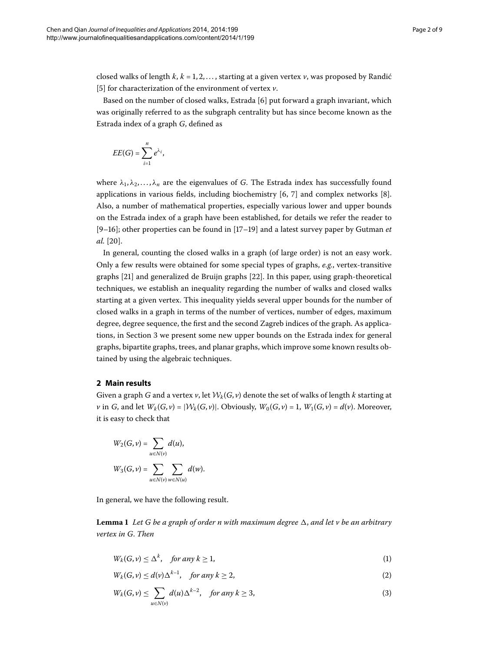closed walks of length  $k, k = 1, 2, \ldots$ , starting at a given vertex  $\nu$ , was proposed by Randić [5[\]](#page-8-6) for characterization of the environment of vertex *v*.

Based on the number of closed walks, Estrada [6] put forward a graph invariant, which was originally referred to as the subgraph centrality but has since become known as the Estrada index of a graph *G*, defined as

$$
EE(G)=\sum_{i=1}^n e^{\lambda_i},
$$

where  $\lambda_1, \lambda_2, \ldots, \lambda_n$  are the eigenvalues of *G*. The Estrada index has successfully found applications in various fields, including biochemistry  $[6, 7]$  $[6, 7]$  and complex networks  $[8]$ . Also, a number of mathematical properties, especially various lower and upper bounds on the Estrada index of a graph have been established, for details we refer the reader to  $[9-16]$  $[9-16]$ ; other properties can be found in  $[17-19]$  and a latest survey paper by Gutman *et al.* [20].

In general, counting the closed walks in a graph (of large order) is not an easy work. Only a few results were obtained for some special types of graphs, *e.g.*, vertex-transitive graphs [21[\]](#page-8-16) and generalized de Bruijn graphs [22]. In this paper, using graph-theoretical techniques, we establish an inequality regarding the number of walks and closed walks starting at a given vertex. This inequality yields several upper bounds for the number of closed walks in a graph in terms of the number of vertices, number of edges, maximum degree, degree sequence, the first and the second Zagreb indices of the graph. As applications, in Section 3 we present some new upper bounds on the Estrada index for general graphs, bipartite graphs, trees, and planar graphs, which improve some known results obtained by using the algebraic techniques.

# **2 Main results**

Given a graph *G* and a vertex *v*, let  $W_k(G, v)$  denote the set of walks of length *k* starting at *v* in *G*, and let  $W_k(G, v) = |W_k(G, v)|$ . Obviously,  $W_0(G, v) = 1$ ,  $W_1(G, v) = d(v)$ . Moreover, it is easy to check that

<span id="page-1-3"></span><span id="page-1-0"></span>
$$
W_2(G, v) = \sum_{u \in N(v)} d(u),
$$
  

$$
W_3(G, v) = \sum_{u \in N(v)} \sum_{w \in N(u)} d(w).
$$

In general, we have the following result.

**Lemma 1** Let G be a graph of order n with maximum degree  $\Delta$ , and let v be an arbitrary *vertex in G*. *Then*

<span id="page-1-2"></span><span id="page-1-1"></span>
$$
W_k(G, \nu) \le \Delta^k, \quad \text{for any } k \ge 1,
$$
\n<sup>(1)</sup>

$$
W_k(G, \nu) \le d(\nu) \Delta^{k-1}, \quad \text{for any } k \ge 2,
$$
 (2)

$$
W_k(G,\nu) \le \sum_{u \in N(\nu)} d(u) \Delta^{k-2}, \quad \text{for any } k \ge 3,
$$
\n<sup>(3)</sup>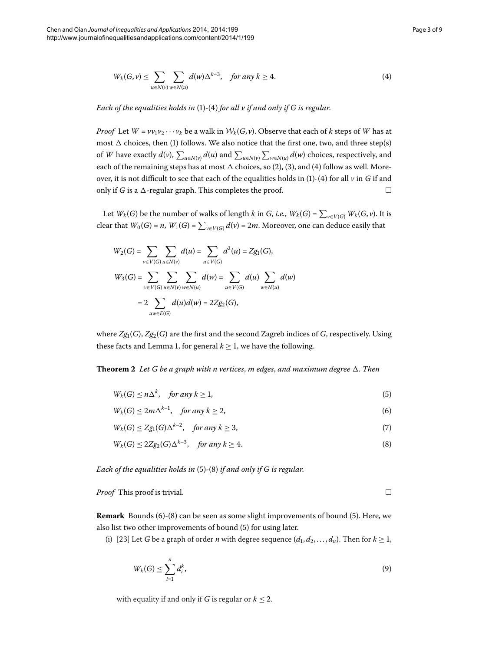<span id="page-2-3"></span><span id="page-2-2"></span><span id="page-2-1"></span> $\Box$ 

<span id="page-2-0"></span>
$$
W_k(G,\nu) \le \sum_{u \in N(\nu)} \sum_{w \in N(u)} d(w) \Delta^{k-3}, \quad \text{for any } k \ge 4. \tag{4}
$$

*Each of the equalities holds in* [\(](#page-1-0)1)-(4) *for all v if and only if G is regular.* 

*Proof* Let  $W = \nu \nu_1 \nu_2 \cdots \nu_k$  be a walk in  $W_k(G, \nu)$ . Observe that each of *k* steps of *W* has at most  $\Delta$  choices, then [\(](#page-1-0)1) follows. We also notice that the first one, two, and three step(s) of *W* have exactly  $d(v)$ ,  $\sum_{u \in N(v)} d(u)$  and  $\sum_{u \in N(v)} \sum_{w \in N(u)} d(w)$  choices, respectively, and each of the remaining steps has at most  $\Delta$  choices, so [\(](#page-2-0)2[\)](#page-1-2), (3), and (4) follow as well. Moreover, it is not difficult to see that each of the equalities holds in  $(1)-(4)$  $(1)-(4)$  $(1)-(4)$  for all  $\nu$  in *G* if and only if *G* is a  $\Delta$ -regular graph. This completes the proof.  $\Box$ 

Let  $W_k(G)$  be the number of walks of length  $k$  in  $G$ , *i.e.*,  $W_k(G) = \sum_{v \in V(G)} W_k(G, v)$ . It is clear that  $W_0(G)$  = *n*,  $W_1(G)$  =  $\sum_{v \in V(G)} d(v)$  = 2*m*. Moreover, one can deduce easily that

$$
W_2(G) = \sum_{v \in V(G)} \sum_{u \in N(v)} d(u) = \sum_{u \in V(G)} d^2(u) = Zg_1(G),
$$
  

$$
W_3(G) = \sum_{v \in V(G)} \sum_{u \in N(v)} \sum_{w \in N(u)} d(w) = \sum_{u \in V(G)} d(u) \sum_{w \in N(u)} d(w)
$$
  

$$
= 2 \sum_{uw \in E(G)} d(u)d(w) = 2Zg_2(G),
$$

where  $Zg_1(G)$ ,  $Zg_2(G)$  are the first and the second Zagreb indices of *G*, respectively. Using these facts and Lemma 1, for general  $k \geq 1$ , we have the following.

**Theorem 2** Let G be a graph with n vertices, m edges, and maximum degree  $\Delta$ . Then

$$
W_k(G) \le n\Delta^k, \quad \text{for any } k \ge 1,
$$
\n<sup>(5)</sup>

$$
W_k(G) \le 2m\Delta^{k-1}, \quad \text{for any } k \ge 2,
$$
 (6)

$$
W_k(G) \le Zg_1(G)\Delta^{k-2}, \quad \text{for any } k \ge 3,
$$
 (7)

$$
W_k(G) \le 2Zg_2(G)\Delta^{k-3}, \quad \text{for any } k \ge 4. \tag{8}
$$

*Each of the equalities holds in* (5[\)](#page-2-2)-(8) *if and only if G is regular.* 

*Proof* This proof is trivial.

**Remark** Bounds [\(](#page-2-2)6)-(8) can be seen as some slight improvements of bound (5). Here, we also list two other improvements of bound (5) for using later.

(i) [\[](#page-8-17)23] Let *G* be a graph of order *n* with degree sequence  $(d_1, d_2, ..., d_n)$ . Then for  $k \ge 1$ ,

$$
W_k(G) \le \sum_{i=1}^n d_i^k,\tag{9}
$$

with equality if and only if *G* is regular or  $k \leq 2$ .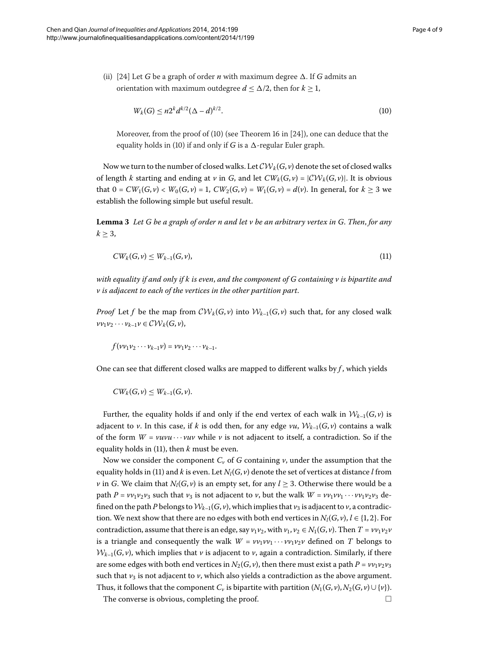(ii) [\[](#page-8-18)24] Let *G* be a graph of order *n* with maximum degree  $\Delta$ . If *G* admits an orientation with maximum outdegree  $d \leq \Delta/2$ , then for  $k \geq 1$ ,

<span id="page-3-1"></span><span id="page-3-0"></span>
$$
W_k(G) \le n2^k d^{k/2} (\Delta - d)^{k/2}.
$$
\n(10)

Moreover, from the proof of  $(10)$  $(10)$  (see Theorem 16 in  $[24]$  $[24]$ ), one can deduce that the equality holds in [\(](#page-3-0)10) if and only if *G* is a  $\Delta$ -regular Euler graph.

<span id="page-3-2"></span>Now we turn to the number of closed walks. Let  $CV_k(G, v)$  denote the set of closed walks of length *k* starting and ending at *v* in *G*, and let  $CW_k(G, v) = |CW_k(G, v)|$ . It is obvious that  $0 = CW_1(G, v) < W_0(G, v) = 1$ ,  $CW_2(G, v) = W_1(G, v) = d(v)$ . In general, for  $k \ge 3$  we establish the following simple but useful result.

**Lemma**  *Let G be a graph of order n and let v be an arbitrary vertex in G*. *Then*, *for any*  $k > 3$ ,

$$
CW_k(G, \nu) \leq W_{k-1}(G, \nu),\tag{11}
$$

*with equality if and only if k is even*, *and the component of G containing v is bipartite and v is adjacent to each of the vertices in the other partition part*.

*Proof* Let f be the map from  $\mathcal{CW}_k(G, v)$  into  $\mathcal{W}_{k-1}(G, v)$  such that, for any closed walk  $v_1v_2\cdots v_{k-1}v\in \mathcal{CW}_k(G,v),$ 

$$
f(\nu\nu_1\nu_2\cdots\nu_{k-1}\nu)=\nu\nu_1\nu_2\cdots\nu_{k-1}.
$$

One can see that different closed walks are mapped to different walks by *f* , which yields

$$
CW_k(G,v) \leq W_{k-1}(G,v).
$$

Further, the equality holds if and only if the end vertex of each walk in  $W_{k-1}(G, \nu)$  is adjacent to *v*. In this case, if *k* is odd then, for any edge *vu*,  $W_{k-1}(G, v)$  contains a walk of the form  $W = vuvu \cdots vuv$  while  $v$  is not adjacent to itself, a contradiction. So if the equality holds in  $(11)$  $(11)$ , then *k* must be even.

Now we consider the component  $C_v$  of  $G$  containing  $v$ , under the assumption that the equality holds in (11) and *k* is even. Let  $N_l(G, v)$  denote the set of vertices at distance *l* from *v* in *G*. We claim that  $N_l(G, v)$  is an empty set, for any  $l \geq 3$ . Otherwise there would be a path  $P = \nu \nu_1 \nu_2 \nu_3$  such that  $\nu_3$  is not adjacent to  $\nu$ , but the walk  $W = \nu \nu_1 \nu_1 \cdots \nu \nu_1 \nu_2 \nu_3$  defined on the path *P* belongs to  $W_{k-1}(G, v)$ , which implies that  $v_3$  is adjacent to  $v$ , a contradiction. We next show that there are no edges with both end vertices in  $N_l(G, v)$ ,  $l \in \{1, 2\}$ . For contradiction, assume that there is an edge, say  $v_1v_2$ , with  $v_1, v_2 \in N_1(G, v)$ . Then  $T = v v_1v_2v_1v_2$ is a triangle and consequently the walk  $W = \nu v_1 \nu v_1 \cdots \nu v_1 \nu_2 \nu$  defined on *T* belongs to  $W_{k-1}(G, v)$ , which implies that *v* is adjacent to *v*, again a contradiction. Similarly, if there are some edges with both end vertices in  $N_2(G, v)$ , then there must exist a path  $P = v v_1 v_2 v_3$ such that  $v_3$  is not adjacent to  $v$ , which also yields a contradiction as the above argument. Thus, it follows that the component *C<sub>v</sub>* is bipartite with partition  $(N_1(G, v), N_2(G, v) \cup \{v\})$ .

The converse is obvious, completing the proof.  $\Box$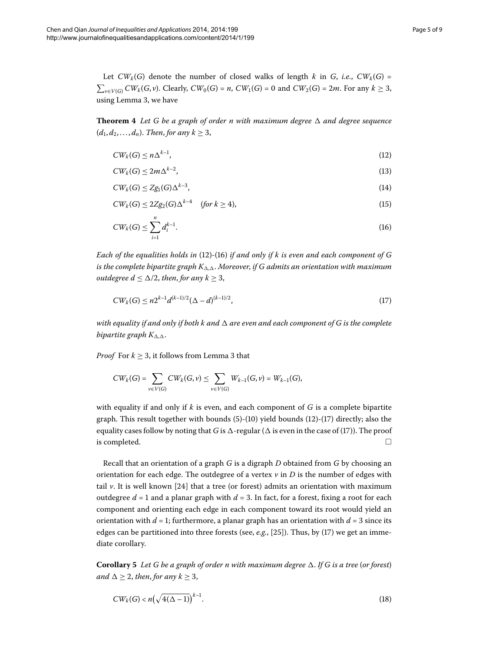<span id="page-4-3"></span>Let  $CW_k(G)$  denote the number of closed walks of length *k* in *G*, *i.e.*,  $CW_k(G)$  =  $\sum_{v \in V(G)} CW_k(G, v)$ . Clearly,  $CW_0(G) = n$ ,  $CW_1(G) = 0$  and  $CW_2(G) = 2m$ . For any  $k ≥ 3$ , using Lemma 3[,](#page-3-2) we have

**Theorem 4** Let G be a graph of order n with maximum degree  $\Delta$  and degree sequence  $(d_1, d_2, \ldots, d_n)$ . *Then, for any*  $k \geq 3$ ,

<span id="page-4-1"></span><span id="page-4-0"></span>
$$
CW_k(G) \le n\Delta^{k-1},\tag{12}
$$

$$
CW_k(G) \le 2m\Delta^{k-2},\tag{13}
$$

$$
CW_k(G) \le Zg_1(G)\Delta^{k-3},\tag{14}
$$

$$
CW_k(G) \le 2Zg_2(G)\Delta^{k-4} \quad \text{ (for } k \ge 4), \tag{15}
$$

<span id="page-4-2"></span>
$$
CW_k(G) \le \sum_{i=1}^n d_i^{k-1}.\tag{16}
$$

*Each of the equalities holds in* (12)-(16) *if and only if k is even and each component of G* is the complete bipartite graph  $K_{\Delta,\Delta}$ . Moreover, if G admits an orientation with maximum *outdegree*  $d \leq \Delta/2$ *, then, for any*  $k \geq 3$ ,

$$
CW_k(G) \le n2^{k-1}d^{(k-1)/2}(\Delta - d)^{(k-1)/2},\tag{17}
$$

*with equality if and only if both k and*  $\Delta$  are even and each component of G is the complete *bipartite graph*  $K_{\Delta,\Delta}$ .

*Proof* For  $k \geq 3$ , it follows from Lemma 3 that

$$
CW_k(G) = \sum_{v \in V(G)} CW_k(G, v) \le \sum_{v \in V(G)} W_{k-1}(G, v) = W_{k-1}(G),
$$

with equality if and only if *k* is even, and each component of *G* is a complete bipartite graph. This result together with bounds  $(5)-(10)$  $(5)-(10)$  yield bounds  $(12)-(17)$  directly; also the equality cases follow by noting that *G* is  $\Delta$ -regular ( $\Delta$  is even in the case of (17[\)](#page-4-2)). The proof is completed.  $\Box$ 

<span id="page-4-4"></span>Recall that an orientation of a graph *G* is a digraph *D* obtained from *G* by choosing an orientation for each edge. The outdegree of a vertex  $\nu$  in  $D$  is the number of edges with tail  $\nu$ . It is well known [24] that a tree (or forest) admits an orientation with maximum outdegree  $d = 1$  and a planar graph with  $d = 3$ . In fact, for a forest, fixing a root for each component and orienting each edge in each component toward its root would yield an orientation with  $d = 1$ ; furthermore, a planar graph has an orientation with  $d = 3$  since its edges can be partitioned into three forests (see,  $e.g., [25]$  $e.g., [25]$ [\)](#page-4-2). Thus, by (17) we get an immediate corollary.

**Corollary 5** Let G be a graph of order n with maximum degree  $\Delta$ . If G is a tree (or forest) *and*  $\Delta \geq 2$ *, then, for any*  $k \geq 3$ *,* 

$$
CW_k(G) < n\left(\sqrt{4(\Delta - 1)}\right)^{k-1}.\tag{18}
$$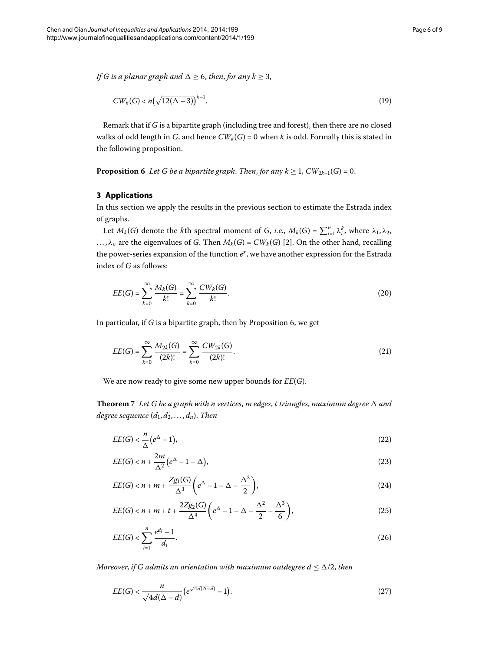<span id="page-5-1"></span>*If G is a planar graph and*  $\Delta \geq 6$ , *then*, *for any*  $k \geq 3$ ,

$$
CW_k(G) < n\left(\sqrt{12(\Delta - 3)}\right)^{k-1}.\tag{19}
$$

<span id="page-5-0"></span>Remark that if *G* is a bipartite graph (including tree and forest), then there are no closed walks of odd length in *G*, and hence  $CW_k(G) = 0$  when *k* is odd. Formally this is stated in the following proposition.

**Proposition 6** Let G be a bipartite graph. Then, for any  $k \geq 1$ ,  $CW_{2k-1}(G) = 0$ .

# **3 Applications**

In this section we apply the results in the previous section to estimate the Estrada index of graphs.

Let  $M_k(G)$  denote the *k*th spectral moment of *G*, *i.e.*,  $M_k(G) = \sum_{i=1}^n \lambda_i^k$ , where  $\lambda_1, \lambda_2$ , ...,  $\lambda_n$  are the eigenvalues of *G*. Then  $M_k(G) = CW_k(G)$  [2[\]](#page-8-3). On the other hand, recalling the power-series expansion of the function  $e^x$ , we have another expression for the Estrada index of *G* as follows:

<span id="page-5-6"></span><span id="page-5-3"></span>
$$
EE(G) = \sum_{k=0}^{\infty} \frac{M_k(G)}{k!} = \sum_{k=0}^{\infty} \frac{CW_k(G)}{k!}.
$$
 (20)

<span id="page-5-7"></span>In particular[,](#page-5-1) if *G* is a bipartite graph, then by Proposition 6, we get

<span id="page-5-4"></span><span id="page-5-2"></span>
$$
EE(G) = \sum_{k=0}^{\infty} \frac{M_{2k}(G)}{(2k)!} = \sum_{k=0}^{\infty} \frac{CW_{2k}(G)}{(2k)!}.
$$
 (21)

We are now ready to give some new upper bounds for *EE*(*G*).

**Theorem** 7 Let G be a graph with n vertices, m edges, t triangles, maximum degree  $\Delta$  and *degree sequence*  $(d_1, d_2, \ldots, d_n)$ *. Then* 

$$
EE(G) < \frac{n}{\Delta} \left( e^{\Delta} - 1 \right),\tag{22}
$$

$$
EE(G) < n + \frac{2m}{\Delta^2} \left( e^{\Delta} - 1 - \Delta \right),\tag{23}
$$

$$
EE(G) < n + m + \frac{Zg_1(G)}{\Delta^3} \left( e^{\Delta} - 1 - \Delta - \frac{\Delta^2}{2} \right),\tag{24}
$$

<span id="page-5-5"></span>
$$
EE(G) < n + m + t + \frac{2Zg_2(G)}{\Delta^4} \bigg( e^{\Delta} - 1 - \Delta - \frac{\Delta^2}{2} - \frac{\Delta^3}{6} \bigg),\tag{25}
$$

$$
EE(G) < \sum_{i=1}^{n} \frac{e^{d_i} - 1}{d_i}.\tag{26}
$$

*Moreover, if G admits an orientation with maximum outdegree*  $d \leq \Delta/2$ *, then* 

$$
EE(G) < \frac{n}{\sqrt{4d(\Delta - d)}} \left( e^{\sqrt{4d(\Delta - d)}} - 1 \right). \tag{27}
$$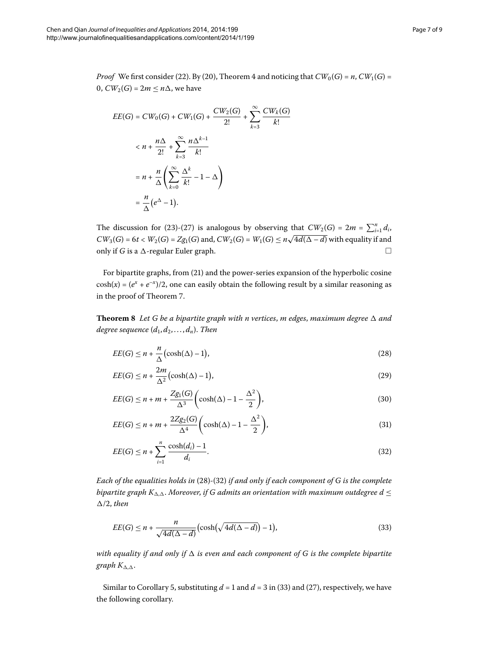*Proof* We first consider (22[\)](#page-5-2). By (20), Theorem 4 and noticing that  $CW_0(G) = n$ ,  $CW_1(G) =$ 0,  $CW_2(G) = 2m \leq n\Delta$ , we have

$$
EE(G) = CW_0(G) + CW_1(G) + \frac{CW_2(G)}{2!} + \sum_{k=3}^{\infty} \frac{CW_k(G)}{k!}
$$
  

$$
< n + \frac{n\Delta}{2!} + \sum_{k=3}^{\infty} \frac{n\Delta^{k-1}}{k!}
$$
  

$$
= n + \frac{n}{\Delta} \left( \sum_{k=0}^{\infty} \frac{\Delta^k}{k!} - 1 - \Delta \right)
$$
  

$$
= \frac{n}{\Delta} (e^{\Delta} - 1).
$$

The discussion for (23[\)](#page-5-5)-(27) is analogous by observing that  $CW_2(G) = 2m = \sum_{i=1}^n d_i$ ,  $CW_3(G) = 6t < W_2(G) = Zg_1(G)$  and,  $CW_2(G) = W_1(G) \le n\sqrt{4d(\Delta - d)}$  with equality if and only if *G* is a  $\Delta$ -regular Euler graph.  $\Box$ 

For bipartite graphs, from (21[\)](#page-5-6) and the power-series expansion of the hyperbolic cosine  $cosh(x) = (e^x + e^{-x})/2$ , one can easily obtain the following result by a similar reasoning as in the proof of Theorem 7.

**Theorem 8** Let G be a bipartite graph with n vertices, m edges, maximum degree  $\Delta$  and *degree sequence*  $(d_1, d_2, \ldots, d_n)$ . *Then* 

<span id="page-6-3"></span><span id="page-6-0"></span>
$$
EE(G) \le n + \frac{n}{\Delta} \left(\cosh(\Delta) - 1\right),\tag{28}
$$

<span id="page-6-1"></span>
$$
EE(G) \le n + \frac{2m}{\Delta^2} \left(\cosh(\Delta) - 1\right),\tag{29}
$$

$$
EE(G) \le n + m + \frac{Zg_1(G)}{\Delta^3} \left(\cosh(\Delta) - 1 - \frac{\Delta^2}{2}\right),\tag{30}
$$

$$
EE(G) \le n + m + \frac{2Zg_2(G)}{\Delta^4} \left(\cosh(\Delta) - 1 - \frac{\Delta^2}{2}\right),\tag{31}
$$

<span id="page-6-2"></span>
$$
EE(G) \le n + \sum_{i=1}^{n} \frac{\cosh(d_i) - 1}{d_i}.\tag{32}
$$

*Each of the equalities holds in* (28[\)](#page-6-1)-(32) *if and only if each component of G is the complete bipartite graph*  $K_{\Delta,\Delta}$ *. Moreover, if G admits an orientation with maximum outdegree d*  $\leq$  $\Delta/2$ , then

$$
EE(G) \le n + \frac{n}{\sqrt{4d(\Delta - d)}} \left( \cosh\left(\sqrt{4d(\Delta - d)}\right) - 1 \right),\tag{33}
$$

with equality if and only if  $\Delta$  is even and each component of G is the complete bipartite  $graph K_{\Delta,\Delta}$ .

Similar to Corollary 5, substituting  $d = 1$  and  $d = 3$  in (33[\)](#page-6-2) and [\(](#page-5-5)27), respectively, we have the following corollary.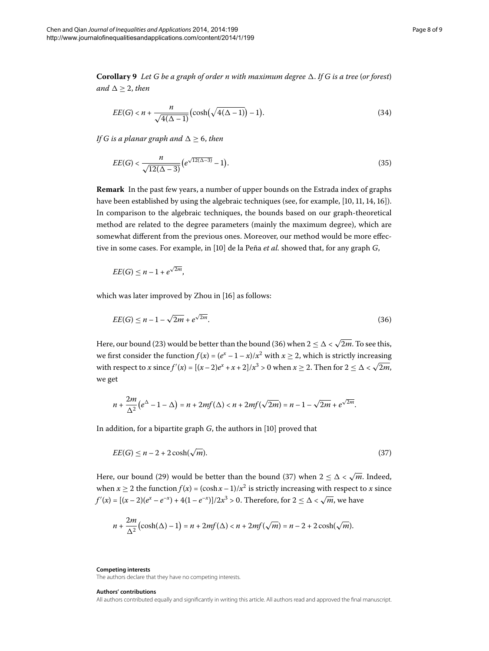**Corollary 9** Let G be a graph of order n with maximum degree  $\Delta$ . If G is a tree (or forest) *and*  $\Delta \geq 2$ *, then* 

$$
EE(G) < n + \frac{n}{\sqrt{4(\Delta - 1)}} \left( \cosh\left(\sqrt{4(\Delta - 1)}\right) - 1 \right). \tag{34}
$$

*If G is a planar graph and*  $\Delta \geq 6$ , *then* 

$$
EE(G) < \frac{n}{\sqrt{12(\Delta - 3)}} \left( e^{\sqrt{12(\Delta - 3)}} - 1 \right). \tag{35}
$$

**Remark** In the past few years, a number of upper bounds on the Estrada index of graphs have been established by using the algebraic techniques (see[,](#page-8-21) for example,  $[10, 11, 14, 16]$  $[10, 11, 14, 16]$ ). In comparison to the algebraic techniques, the bounds based on our graph-theoretical method are related to the degree parameters (mainly the maximum degree), which are somewhat different from the previous ones. Moreover, our method would be more effective in some cases. For example, in [10] de la Peña *et al.* showed that, for any graph *G*,

<span id="page-7-0"></span>
$$
EE(G) \leq n-1+e^{\sqrt{2m}},
$$

which was later improved by Zhou in [\[](#page-8-11)16] as follows:

$$
EE(G) \le n - 1 - \sqrt{2m} + e^{\sqrt{2m}}.
$$
\n(36)

Here, our bound (23[\)](#page-5-4) would be better than the bound (36) when  $2 \leq \Delta < \sqrt{2m}$ . To see this, we first consider the function  $f(x) = (e^x - 1 - x)/x^2$  with  $x \ge 2$ , which is strictly increasing with respect to *x* since  $f'(x) = [(x-2)e^x + x + 2]/x^3 > 0$  when  $x \ge 2$ . Then for  $2 \le \Delta < \sqrt{2m}$ , we get

<span id="page-7-1"></span>
$$
n+\frac{2m}{\Delta^2}\big(e^{\Delta}-1-\Delta\big)=n+2mf(\Delta)
$$

In addition, for a bipartite graph *G*, the authors in [10[\]](#page-8-20) proved that

$$
EE(G) \le n - 2 + 2\cosh(\sqrt{m}).\tag{37}
$$

Here, our bound (29[\)](#page-7-1) would be better than the bound (37) when  $2 < \Delta < \sqrt{m}$ . Indeed, when *x*  $\geq$  2 the function *f*(*x*) = (cosh *x* – 1)/*x*<sup>2</sup> is strictly increasing with respect to *x* since  $f'(x) = [(x-2)(e^x - e^{-x}) + 4(1-e^{-x})]/2x^3 > 0$ . Therefore, for  $2 \le \Delta < \sqrt{m}$ , we have

$$
n+\frac{2m}{\Delta^2}\big(\cosh(\Delta)-1\big)=n+2mf(\Delta)
$$

**Competing interests**

The authors declare that they have no competing interests.

#### **Authors' contributions**

All authors contributed equally and significantly in writing this article. All authors read and approved the final manuscript.